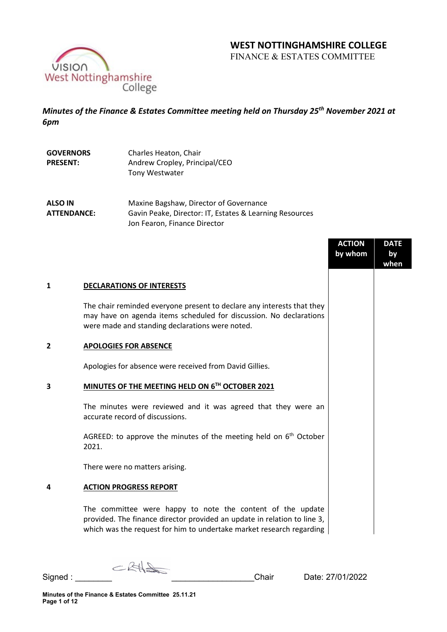# **WEST NOTTINGHAMSHIRE COLLEGE**

FINANCE & ESTATES COMMITTEE



*Minutes of the Finance & Estates Committee meeting held on Thursday 25th November 2021 at 6pm*

| <b>GOVERNORS</b> | Charles Heaton, Chair         |
|------------------|-------------------------------|
| <b>PRESENT:</b>  | Andrew Cropley, Principal/CEO |
|                  | Tony Westwater                |

**ALSO IN ATTENDANCE:** Maxine Bagshaw, Director of Governance Gavin Peake, Director: IT, Estates & Learning Resources Jon Fearon, Finance Director

|              |                                                                                                                                                                                                                | <b>ACTION</b><br>by whom | <b>DATE</b><br>by<br>when |
|--------------|----------------------------------------------------------------------------------------------------------------------------------------------------------------------------------------------------------------|--------------------------|---------------------------|
| $\mathbf{1}$ | <b>DECLARATIONS OF INTERESTS</b>                                                                                                                                                                               |                          |                           |
|              | The chair reminded everyone present to declare any interests that they<br>may have on agenda items scheduled for discussion. No declarations<br>were made and standing declarations were noted.                |                          |                           |
| 2            | <b>APOLOGIES FOR ABSENCE</b>                                                                                                                                                                                   |                          |                           |
|              | Apologies for absence were received from David Gillies.                                                                                                                                                        |                          |                           |
| 3            | MINUTES OF THE MEETING HELD ON 6TH OCTOBER 2021                                                                                                                                                                |                          |                           |
|              | The minutes were reviewed and it was agreed that they were an<br>accurate record of discussions.                                                                                                               |                          |                           |
|              | AGREED: to approve the minutes of the meeting held on $6th$ October<br>2021.                                                                                                                                   |                          |                           |
|              | There were no matters arising.                                                                                                                                                                                 |                          |                           |
| 4            | <b>ACTION PROGRESS REPORT</b>                                                                                                                                                                                  |                          |                           |
|              | The committee were happy to note the content of the update<br>provided. The finance director provided an update in relation to line 3,<br>which was the request for him to undertake market research regarding |                          |                           |

 $CKH_{\text{min}}$ Signed : <u>Signed</u> : **Signed** : **Signed** : **Chair** Date: 27/01/2022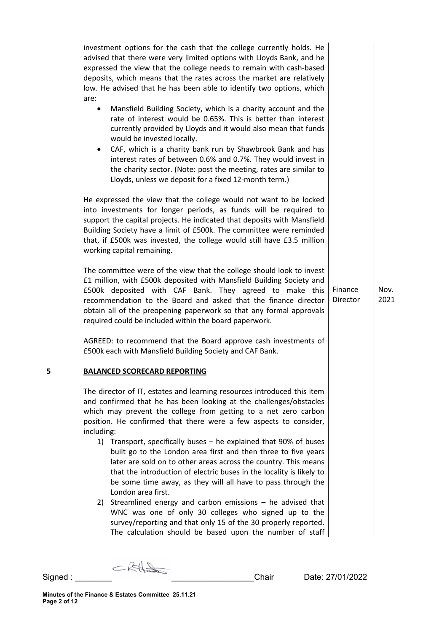|   | investment options for the cash that the college currently holds. He<br>advised that there were very limited options with Lloyds Bank, and he<br>expressed the view that the college needs to remain with cash-based<br>deposits, which means that the rates across the market are relatively<br>low. He advised that he has been able to identify two options, which<br>are:<br>Mansfield Building Society, which is a charity account and the<br>$\bullet$<br>rate of interest would be 0.65%. This is better than interest<br>currently provided by Lloyds and it would also mean that funds<br>would be invested locally.<br>CAF, which is a charity bank run by Shawbrook Bank and has<br>interest rates of between 0.6% and 0.7%. They would invest in<br>the charity sector. (Note: post the meeting, rates are similar to<br>Lloyds, unless we deposit for a fixed 12-month term.) |                     |              |
|---|--------------------------------------------------------------------------------------------------------------------------------------------------------------------------------------------------------------------------------------------------------------------------------------------------------------------------------------------------------------------------------------------------------------------------------------------------------------------------------------------------------------------------------------------------------------------------------------------------------------------------------------------------------------------------------------------------------------------------------------------------------------------------------------------------------------------------------------------------------------------------------------------|---------------------|--------------|
|   | He expressed the view that the college would not want to be locked<br>into investments for longer periods, as funds will be required to<br>support the capital projects. He indicated that deposits with Mansfield<br>Building Society have a limit of £500k. The committee were reminded<br>that, if £500k was invested, the college would still have £3.5 million<br>working capital remaining.                                                                                                                                                                                                                                                                                                                                                                                                                                                                                          |                     |              |
|   | The committee were of the view that the college should look to invest<br>£1 million, with £500k deposited with Mansfield Building Society and<br>£500k deposited with CAF Bank. They agreed to make this<br>recommendation to the Board and asked that the finance director<br>obtain all of the preopening paperwork so that any formal approvals<br>required could be included within the board paperwork.                                                                                                                                                                                                                                                                                                                                                                                                                                                                               | Finance<br>Director | Nov.<br>2021 |
|   | AGREED: to recommend that the Board approve cash investments of<br>£500k each with Mansfield Building Society and CAF Bank.                                                                                                                                                                                                                                                                                                                                                                                                                                                                                                                                                                                                                                                                                                                                                                |                     |              |
| 5 | <b>BALANCED SCORECARD REPORTING</b>                                                                                                                                                                                                                                                                                                                                                                                                                                                                                                                                                                                                                                                                                                                                                                                                                                                        |                     |              |
|   | The director of IT, estates and learning resources introduced this item<br>and confirmed that he has been looking at the challenges/obstacles<br>which may prevent the college from getting to a net zero carbon<br>position. He confirmed that there were a few aspects to consider,<br>including:<br>1) Transport, specifically buses – he explained that 90% of buses                                                                                                                                                                                                                                                                                                                                                                                                                                                                                                                   |                     |              |
|   | built go to the London area first and then three to five years<br>later are sold on to other areas across the country. This means<br>that the introduction of electric buses in the locality is likely to<br>be some time away, as they will all have to pass through the<br>London area first.                                                                                                                                                                                                                                                                                                                                                                                                                                                                                                                                                                                            |                     |              |
|   | 2) Streamlined energy and carbon emissions - he advised that<br>WNC was one of only 30 colleges who signed up to the<br>survey/reporting and that only 15 of the 30 properly reported.<br>The calculation should be based upon the number of staff                                                                                                                                                                                                                                                                                                                                                                                                                                                                                                                                                                                                                                         |                     |              |

Signed : \_\_\_\_\_\_\_\_ \_\_\_\_\_\_\_\_\_\_\_\_\_\_\_\_\_\_Chair Date: 27/01/2022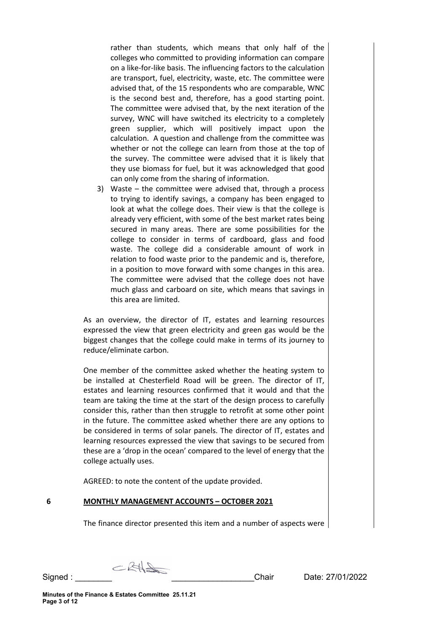rather than students, which means that only half of the colleges who committed to providing information can compare on a like-for-like basis. The influencing factors to the calculation are transport, fuel, electricity, waste, etc. The committee were advised that, of the 15 respondents who are comparable, WNC is the second best and, therefore, has a good starting point. The committee were advised that, by the next iteration of the survey, WNC will have switched its electricity to a completely green supplier, which will positively impact upon the calculation. A question and challenge from the committee was whether or not the college can learn from those at the top of the survey. The committee were advised that it is likely that they use biomass for fuel, but it was acknowledged that good can only come from the sharing of information.

3) Waste – the committee were advised that, through a process to trying to identify savings, a company has been engaged to look at what the college does. Their view is that the college is already very efficient, with some of the best market rates being secured in many areas. There are some possibilities for the college to consider in terms of cardboard, glass and food waste. The college did a considerable amount of work in relation to food waste prior to the pandemic and is, therefore, in a position to move forward with some changes in this area. The committee were advised that the college does not have much glass and carboard on site, which means that savings in this area are limited.

As an overview, the director of IT, estates and learning resources expressed the view that green electricity and green gas would be the biggest changes that the college could make in terms of its journey to reduce/eliminate carbon.

One member of the committee asked whether the heating system to be installed at Chesterfield Road will be green. The director of IT, estates and learning resources confirmed that it would and that the team are taking the time at the start of the design process to carefully consider this, rather than then struggle to retrofit at some other point in the future. The committee asked whether there are any options to be considered in terms of solar panels. The director of IT, estates and learning resources expressed the view that savings to be secured from these are a 'drop in the ocean' compared to the level of energy that the college actually uses.

AGREED: to note the content of the update provided.

### **6 MONTHLY MANAGEMENT ACCOUNTS – OCTOBER 2021**

The finance director presented this item and a number of aspects were

 $CRH$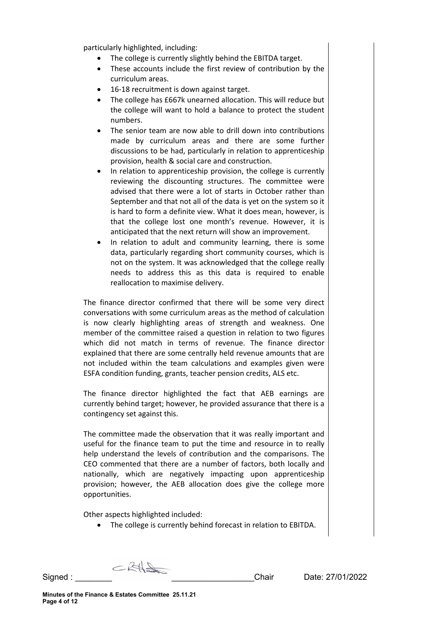particularly highlighted, including:

- The college is currently slightly behind the EBITDA target.
- These accounts include the first review of contribution by the curriculum areas.
- 16-18 recruitment is down against target.
- The college has £667k unearned allocation. This will reduce but the college will want to hold a balance to protect the student numbers.
- The senior team are now able to drill down into contributions made by curriculum areas and there are some further discussions to be had, particularly in relation to apprenticeship provision, health & social care and construction.
- In relation to apprenticeship provision, the college is currently reviewing the discounting structures. The committee were advised that there were a lot of starts in October rather than September and that not all of the data is yet on the system so it is hard to form a definite view. What it does mean, however, is that the college lost one month's revenue. However, it is anticipated that the next return will show an improvement.
- In relation to adult and community learning, there is some data, particularly regarding short community courses, which is not on the system. It was acknowledged that the college really needs to address this as this data is required to enable reallocation to maximise delivery.

The finance director confirmed that there will be some very direct conversations with some curriculum areas as the method of calculation is now clearly highlighting areas of strength and weakness. One member of the committee raised a question in relation to two figures which did not match in terms of revenue. The finance director explained that there are some centrally held revenue amounts that are not included within the team calculations and examples given were ESFA condition funding, grants, teacher pension credits, ALS etc.

The finance director highlighted the fact that AEB earnings are currently behind target; however, he provided assurance that there is a contingency set against this.

The committee made the observation that it was really important and useful for the finance team to put the time and resource in to really help understand the levels of contribution and the comparisons. The CEO commented that there are a number of factors, both locally and nationally, which are negatively impacting upon apprenticeship provision; however, the AEB allocation does give the college more opportunities.

Other aspects highlighted included:

• The college is currently behind forecast in relation to EBITDA.

 $CRH$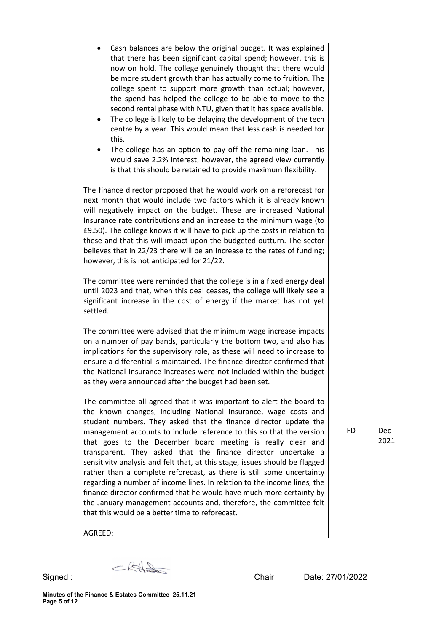| $\bullet$<br>٠ | Cash balances are below the original budget. It was explained<br>that there has been significant capital spend; however, this is<br>now on hold. The college genuinely thought that there would<br>be more student growth than has actually come to fruition. The<br>college spent to support more growth than actual; however,<br>the spend has helped the college to be able to move to the<br>second rental phase with NTU, given that it has space available.<br>The college is likely to be delaying the development of the tech<br>centre by a year. This would mean that less cash is needed for<br>this.<br>The college has an option to pay off the remaining loan. This<br>would save 2.2% interest; however, the agreed view currently<br>is that this should be retained to provide maximum flexibility. |    |                                |
|----------------|----------------------------------------------------------------------------------------------------------------------------------------------------------------------------------------------------------------------------------------------------------------------------------------------------------------------------------------------------------------------------------------------------------------------------------------------------------------------------------------------------------------------------------------------------------------------------------------------------------------------------------------------------------------------------------------------------------------------------------------------------------------------------------------------------------------------|----|--------------------------------|
|                | The finance director proposed that he would work on a reforecast for<br>next month that would include two factors which it is already known<br>will negatively impact on the budget. These are increased National<br>Insurance rate contributions and an increase to the minimum wage (to<br>£9.50). The college knows it will have to pick up the costs in relation to<br>these and that this will impact upon the budgeted outturn. The sector<br>believes that in 22/23 there will be an increase to the rates of funding;<br>however, this is not anticipated for 21/22.                                                                                                                                                                                                                                         |    |                                |
| settled.       | The committee were reminded that the college is in a fixed energy deal<br>until 2023 and that, when this deal ceases, the college will likely see a<br>significant increase in the cost of energy if the market has not yet                                                                                                                                                                                                                                                                                                                                                                                                                                                                                                                                                                                          |    |                                |
|                | The committee were advised that the minimum wage increase impacts<br>on a number of pay bands, particularly the bottom two, and also has<br>implications for the supervisory role, as these will need to increase to<br>ensure a differential is maintained. The finance director confirmed that<br>the National Insurance increases were not included within the budget<br>as they were announced after the budget had been set.                                                                                                                                                                                                                                                                                                                                                                                    |    |                                |
|                | The committee all agreed that it was important to alert the board to<br>the known changes, including National Insurance, wage costs and<br>student numbers. They asked that the finance director update the<br>management accounts to include reference to this so that the version<br>that goes to the December board meeting is really clear and<br>transparent. They asked that the finance director undertake a<br>sensitivity analysis and felt that, at this stage, issues should be flagged<br>rather than a complete reforecast, as there is still some uncertainty<br>regarding a number of income lines. In relation to the income lines, the                                                                                                                                                              | FD | <b>Dec</b><br>202 <sup>2</sup> |

finance director confirmed that he would have much more certainty by the January management accounts and, therefore, the committee felt

that this would be a better time to reforecast.

**Minutes of the Finance & Estates Committee 25.11.21 Page 5 of 12**

AGREED:

 $Signed:$   $Signed:$ 

 $\overline{1}$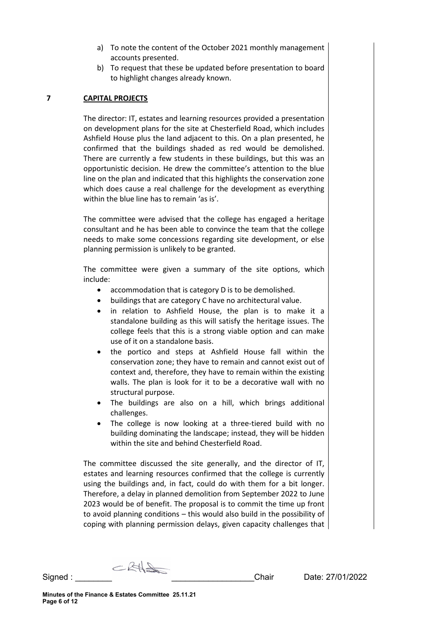- a) To note the content of the October 2021 monthly management accounts presented.
- b) To request that these be updated before presentation to board to highlight changes already known.

#### **7 CAPITAL PROJECTS**

The director: IT, estates and learning resources provided a presentation on development plans for the site at Chesterfield Road, which includes Ashfield House plus the land adjacent to this. On a plan presented, he confirmed that the buildings shaded as red would be demolished. There are currently a few students in these buildings, but this was an opportunistic decision. He drew the committee's attention to the blue line on the plan and indicated that this highlights the conservation zone which does cause a real challenge for the development as everything within the blue line has to remain 'as is'.

The committee were advised that the college has engaged a heritage consultant and he has been able to convince the team that the college needs to make some concessions regarding site development, or else planning permission is unlikely to be granted.

The committee were given a summary of the site options, which include:

- accommodation that is category D is to be demolished.
- buildings that are category C have no architectural value.
- in relation to Ashfield House, the plan is to make it a standalone building as this will satisfy the heritage issues. The college feels that this is a strong viable option and can make use of it on a standalone basis.
- the portico and steps at Ashfield House fall within the conservation zone; they have to remain and cannot exist out of context and, therefore, they have to remain within the existing walls. The plan is look for it to be a decorative wall with no structural purpose.
- The buildings are also on a hill, which brings additional challenges.
- The college is now looking at a three-tiered build with no building dominating the landscape; instead, they will be hidden within the site and behind Chesterfield Road.

The committee discussed the site generally, and the director of IT, estates and learning resources confirmed that the college is currently using the buildings and, in fact, could do with them for a bit longer. Therefore, a delay in planned demolition from September 2022 to June 2023 would be of benefit. The proposal is to commit the time up front to avoid planning conditions – this would also build in the possibility of coping with planning permission delays, given capacity challenges that

 $CRH$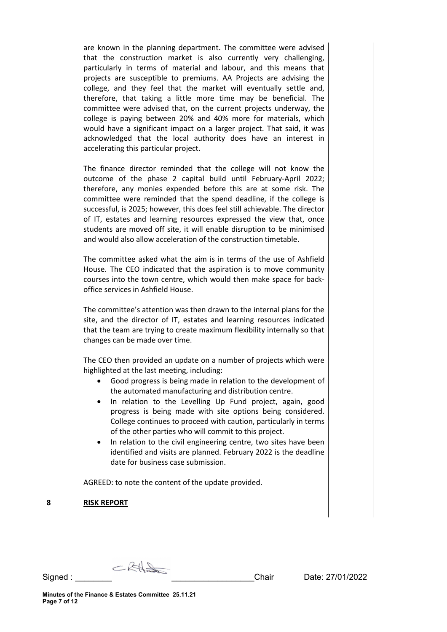are known in the planning department. The committee were advised that the construction market is also currently very challenging, particularly in terms of material and labour, and this means that projects are susceptible to premiums. AA Projects are advising the college, and they feel that the market will eventually settle and, therefore, that taking a little more time may be beneficial. The committee were advised that, on the current projects underway, the college is paying between 20% and 40% more for materials, which would have a significant impact on a larger project. That said, it was acknowledged that the local authority does have an interest in accelerating this particular project.

The finance director reminded that the college will not know the outcome of the phase 2 capital build until February-April 2022; therefore, any monies expended before this are at some risk. The committee were reminded that the spend deadline, if the college is successful, is 2025; however, this does feel still achievable. The director of IT, estates and learning resources expressed the view that, once students are moved off site, it will enable disruption to be minimised and would also allow acceleration of the construction timetable.

The committee asked what the aim is in terms of the use of Ashfield House. The CEO indicated that the aspiration is to move community courses into the town centre, which would then make space for backoffice services in Ashfield House.

The committee's attention was then drawn to the internal plans for the site, and the director of IT, estates and learning resources indicated that the team are trying to create maximum flexibility internally so that changes can be made over time.

The CEO then provided an update on a number of projects which were highlighted at the last meeting, including:

- Good progress is being made in relation to the development of the automated manufacturing and distribution centre.
- In relation to the Levelling Up Fund project, again, good progress is being made with site options being considered. College continues to proceed with caution, particularly in terms of the other parties who will commit to this project.
- In relation to the civil engineering centre, two sites have been identified and visits are planned. February 2022 is the deadline date for business case submission.

AGREED: to note the content of the update provided.

**8 RISK REPORT**

 $CRH$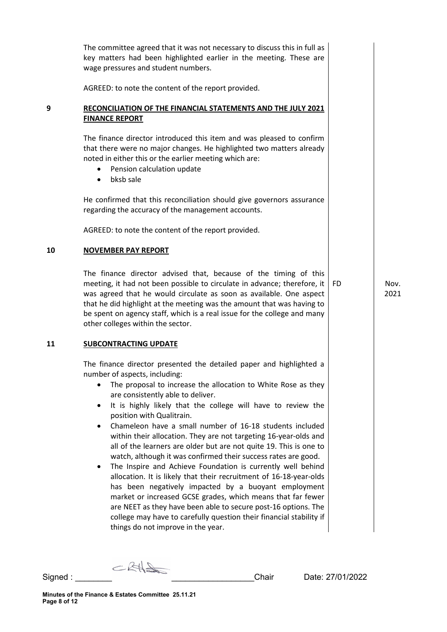|    | The committee agreed that it was not necessary to discuss this in full as<br>key matters had been highlighted earlier in the meeting. These are<br>wage pressures and student numbers.                                                                                                                                                                                                                                                                                                                                                                                                                                                                                                                                                                                                                                                                                                                                                                                                                                     |     |              |
|----|----------------------------------------------------------------------------------------------------------------------------------------------------------------------------------------------------------------------------------------------------------------------------------------------------------------------------------------------------------------------------------------------------------------------------------------------------------------------------------------------------------------------------------------------------------------------------------------------------------------------------------------------------------------------------------------------------------------------------------------------------------------------------------------------------------------------------------------------------------------------------------------------------------------------------------------------------------------------------------------------------------------------------|-----|--------------|
|    | AGREED: to note the content of the report provided.                                                                                                                                                                                                                                                                                                                                                                                                                                                                                                                                                                                                                                                                                                                                                                                                                                                                                                                                                                        |     |              |
| 9  | RECONCILIATION OF THE FINANCIAL STATEMENTS AND THE JULY 2021<br><b>FINANCE REPORT</b>                                                                                                                                                                                                                                                                                                                                                                                                                                                                                                                                                                                                                                                                                                                                                                                                                                                                                                                                      |     |              |
|    | The finance director introduced this item and was pleased to confirm<br>that there were no major changes. He highlighted two matters already<br>noted in either this or the earlier meeting which are:<br>Pension calculation update<br>bksb sale<br>$\bullet$                                                                                                                                                                                                                                                                                                                                                                                                                                                                                                                                                                                                                                                                                                                                                             |     |              |
|    | He confirmed that this reconciliation should give governors assurance<br>regarding the accuracy of the management accounts.                                                                                                                                                                                                                                                                                                                                                                                                                                                                                                                                                                                                                                                                                                                                                                                                                                                                                                |     |              |
|    | AGREED: to note the content of the report provided.                                                                                                                                                                                                                                                                                                                                                                                                                                                                                                                                                                                                                                                                                                                                                                                                                                                                                                                                                                        |     |              |
| 10 | <b>NOVEMBER PAY REPORT</b>                                                                                                                                                                                                                                                                                                                                                                                                                                                                                                                                                                                                                                                                                                                                                                                                                                                                                                                                                                                                 |     |              |
|    | The finance director advised that, because of the timing of this<br>meeting, it had not been possible to circulate in advance; therefore, it<br>was agreed that he would circulate as soon as available. One aspect<br>that he did highlight at the meeting was the amount that was having to<br>be spent on agency staff, which is a real issue for the college and many<br>other colleges within the sector.                                                                                                                                                                                                                                                                                                                                                                                                                                                                                                                                                                                                             | FD. | Nov.<br>2021 |
| 11 | <b>SUBCONTRACTING UPDATE</b>                                                                                                                                                                                                                                                                                                                                                                                                                                                                                                                                                                                                                                                                                                                                                                                                                                                                                                                                                                                               |     |              |
|    | The finance director presented the detailed paper and highlighted a<br>number of aspects, including:<br>The proposal to increase the allocation to White Rose as they<br>are consistently able to deliver.<br>It is highly likely that the college will have to review the<br>position with Qualitrain.<br>Chameleon have a small number of 16-18 students included<br>within their allocation. They are not targeting 16-year-olds and<br>all of the learners are older but are not quite 19. This is one to<br>watch, although it was confirmed their success rates are good.<br>The Inspire and Achieve Foundation is currently well behind<br>allocation. It is likely that their recruitment of 16-18-year-olds<br>has been negatively impacted by a buoyant employment<br>market or increased GCSE grades, which means that far fewer<br>are NEET as they have been able to secure post-16 options. The<br>college may have to carefully question their financial stability if<br>things do not improve in the year. |     |              |

Signed : \_\_\_\_\_\_\_\_ \_\_\_\_\_\_\_\_\_\_\_\_\_\_\_\_\_\_Chair Date: 27/01/2022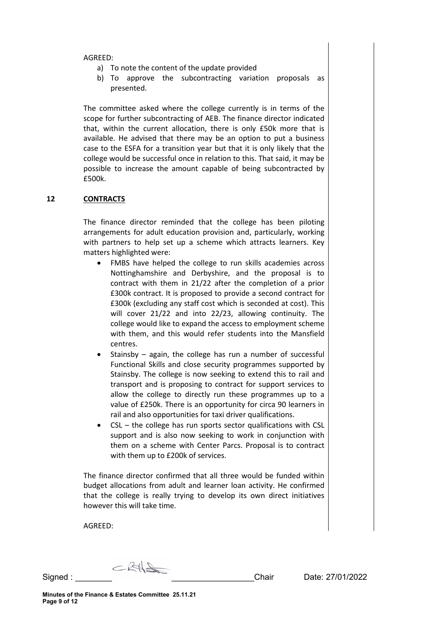#### AGREED:

- a) To note the content of the update provided
- b) To approve the subcontracting variation proposals as presented.

The committee asked where the college currently is in terms of the scope for further subcontracting of AEB. The finance director indicated that, within the current allocation, there is only £50k more that is available. He advised that there may be an option to put a business case to the ESFA for a transition year but that it is only likely that the college would be successful once in relation to this. That said, it may be possible to increase the amount capable of being subcontracted by £500k.

#### **12 CONTRACTS**

The finance director reminded that the college has been piloting arrangements for adult education provision and, particularly, working with partners to help set up a scheme which attracts learners. Key matters highlighted were:

- FMBS have helped the college to run skills academies across Nottinghamshire and Derbyshire, and the proposal is to contract with them in 21/22 after the completion of a prior £300k contract. It is proposed to provide a second contract for £300k (excluding any staff cost which is seconded at cost). This will cover 21/22 and into 22/23, allowing continuity. The college would like to expand the access to employment scheme with them, and this would refer students into the Mansfield centres.
- Stainsby  $-$  again, the college has run a number of successful Functional Skills and close security programmes supported by Stainsby. The college is now seeking to extend this to rail and transport and is proposing to contract for support services to allow the college to directly run these programmes up to a value of £250k. There is an opportunity for circa 90 learners in rail and also opportunities for taxi driver qualifications.
- CSL the college has run sports sector qualifications with CSL support and is also now seeking to work in conjunction with them on a scheme with Center Parcs. Proposal is to contract with them up to £200k of services.

The finance director confirmed that all three would be funded within budget allocations from adult and learner loan activity. He confirmed that the college is really trying to develop its own direct initiatives however this will take time.

AGREED:

 $CRH$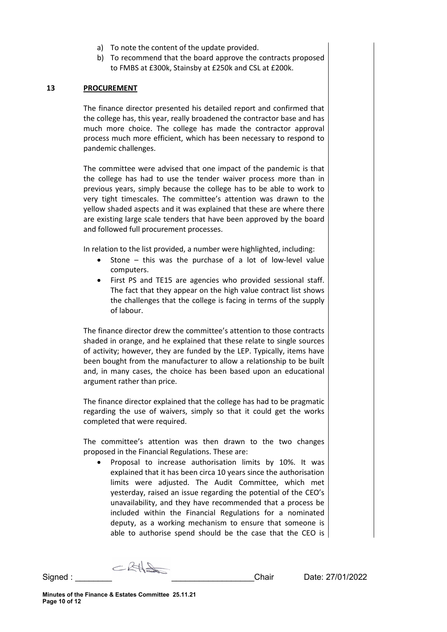- a) To note the content of the update provided.
- b) To recommend that the board approve the contracts proposed to FMBS at £300k, Stainsby at £250k and CSL at £200k.

#### **13 PROCUREMENT**

The finance director presented his detailed report and confirmed that the college has, this year, really broadened the contractor base and has much more choice. The college has made the contractor approval process much more efficient, which has been necessary to respond to pandemic challenges.

The committee were advised that one impact of the pandemic is that the college has had to use the tender waiver process more than in previous years, simply because the college has to be able to work to very tight timescales. The committee's attention was drawn to the yellow shaded aspects and it was explained that these are where there are existing large scale tenders that have been approved by the board and followed full procurement processes.

In relation to the list provided, a number were highlighted, including:

- Stone  $-$  this was the purchase of a lot of low-level value computers.
- First PS and TE15 are agencies who provided sessional staff. The fact that they appear on the high value contract list shows the challenges that the college is facing in terms of the supply of labour.

The finance director drew the committee's attention to those contracts shaded in orange, and he explained that these relate to single sources of activity; however, they are funded by the LEP. Typically, items have been bought from the manufacturer to allow a relationship to be built and, in many cases, the choice has been based upon an educational argument rather than price.

The finance director explained that the college has had to be pragmatic regarding the use of waivers, simply so that it could get the works completed that were required.

The committee's attention was then drawn to the two changes proposed in the Financial Regulations. These are:

Proposal to increase authorisation limits by 10%. It was explained that it has been circa 10 years since the authorisation limits were adjusted. The Audit Committee, which met yesterday, raised an issue regarding the potential of the CEO's unavailability, and they have recommended that a process be included within the Financial Regulations for a nominated deputy, as a working mechanism to ensure that someone is able to authorise spend should be the case that the CEO is

 $C$ RH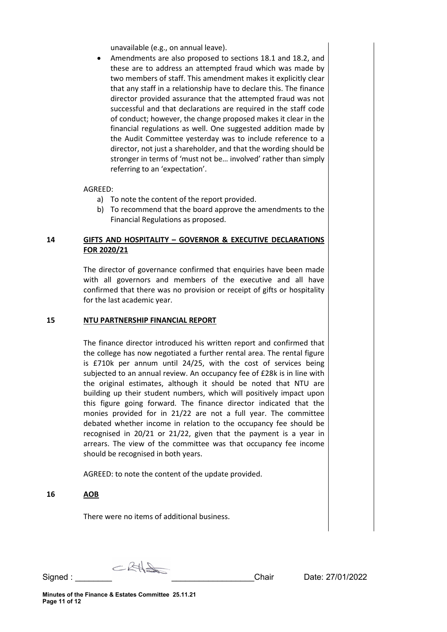unavailable (e.g., on annual leave).

• Amendments are also proposed to sections 18.1 and 18.2, and these are to address an attempted fraud which was made by two members of staff. This amendment makes it explicitly clear that any staff in a relationship have to declare this. The finance director provided assurance that the attempted fraud was not successful and that declarations are required in the staff code of conduct; however, the change proposed makes it clear in the financial regulations as well. One suggested addition made by the Audit Committee yesterday was to include reference to a director, not just a shareholder, and that the wording should be stronger in terms of 'must not be… involved' rather than simply referring to an 'expectation'.

#### AGREED:

- a) To note the content of the report provided.
- b) To recommend that the board approve the amendments to the Financial Regulations as proposed.

## **14 GIFTS AND HOSPITALITY – GOVERNOR & EXECUTIVE DECLARATIONS FOR 2020/21**

The director of governance confirmed that enquiries have been made with all governors and members of the executive and all have confirmed that there was no provision or receipt of gifts or hospitality for the last academic year.

#### **15 NTU PARTNERSHIP FINANCIAL REPORT**

The finance director introduced his written report and confirmed that the college has now negotiated a further rental area. The rental figure is £710k per annum until 24/25, with the cost of services being subjected to an annual review. An occupancy fee of £28k is in line with the original estimates, although it should be noted that NTU are building up their student numbers, which will positively impact upon this figure going forward. The finance director indicated that the monies provided for in 21/22 are not a full year. The committee debated whether income in relation to the occupancy fee should be recognised in 20/21 or 21/22, given that the payment is a year in arrears. The view of the committee was that occupancy fee income should be recognised in both years.

AGREED: to note the content of the update provided.

#### **16 AOB**

There were no items of additional business.

 $CRH\rightarrow$